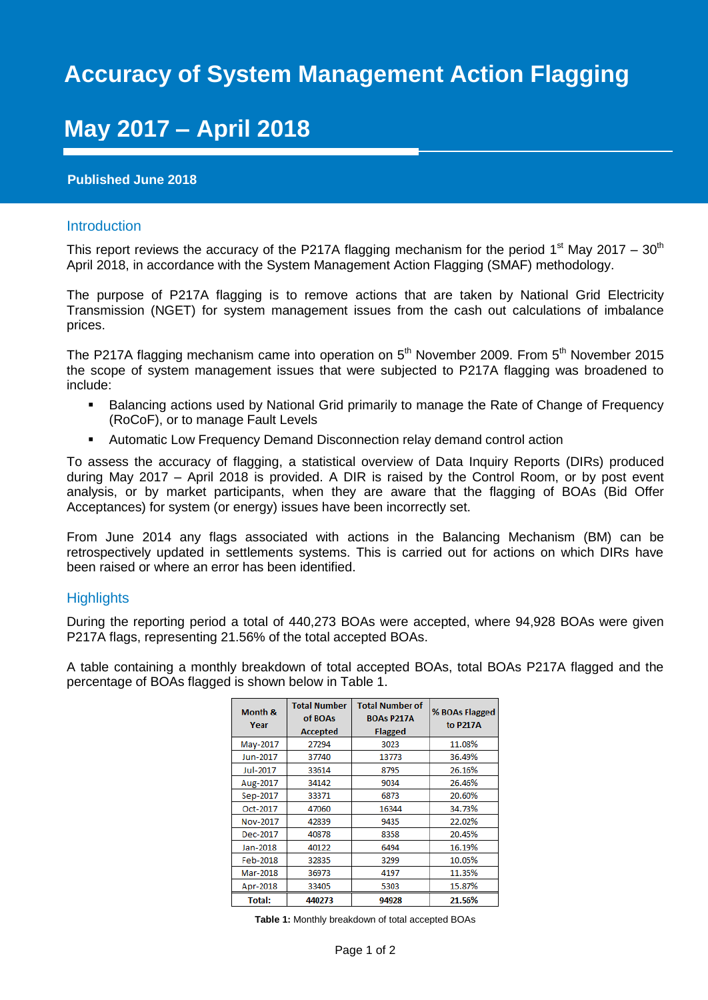# **Accuracy of System Management Action Flagging**

# **May 2017 – April 2018**

## **Published June 2018**

### Introduction

This report reviews the accuracy of the P217A flagging mechanism for the period 1<sup>st</sup> May 2017 – 30<sup>th</sup> April 2018, in accordance with the System Management Action Flagging (SMAF) methodology.

The purpose of P217A flagging is to remove actions that are taken by National Grid Electricity Transmission (NGET) for system management issues from the cash out calculations of imbalance prices.

The P217A flagging mechanism came into operation on  $5<sup>th</sup>$  November 2009. From  $5<sup>th</sup>$  November 2015 the scope of system management issues that were subjected to P217A flagging was broadened to include:

- **Balancing actions used by National Grid primarily to manage the Rate of Change of Frequency** (RoCoF), or to manage Fault Levels
- Automatic Low Frequency Demand Disconnection relay demand control action

To assess the accuracy of flagging, a statistical overview of Data Inquiry Reports (DIRs) produced during May 2017 – April 2018 is provided. A DIR is raised by the Control Room, or by post event analysis, or by market participants, when they are aware that the flagging of BOAs (Bid Offer Acceptances) for system (or energy) issues have been incorrectly set.

From June 2014 any flags associated with actions in the Balancing Mechanism (BM) can be retrospectively updated in settlements systems. This is carried out for actions on which DIRs have been raised or where an error has been identified.

### **Highlights**

During the reporting period a total of 440,273 BOAs were accepted, where 94,928 BOAs were given P217A flags, representing 21.56% of the total accepted BOAs.

A table containing a monthly breakdown of total accepted BOAs, total BOAs P217A flagged and the percentage of BOAs flagged is shown below in Table 1.

| <b>Month &amp;</b><br>Year | <b>Total Number</b><br>of BOAs<br><b>Accepted</b> | <b>Total Number of</b><br><b>BOAs P217A</b><br><b>Flagged</b> | % BOAs Flagged<br>to P217A |
|----------------------------|---------------------------------------------------|---------------------------------------------------------------|----------------------------|
| May-2017                   | 27294                                             | 3023                                                          | 11.08%                     |
| Jun-2017                   | 37740                                             | 13773                                                         | 36.49%                     |
| Jul-2017                   | 33614                                             | 8795                                                          | 26.16%                     |
| Aug-2017                   | 34142                                             | 9034                                                          | 26.46%                     |
| Sep-2017                   | 33371                                             | 6873                                                          | 20.60%                     |
| Oct-2017                   | 47060                                             | 16344                                                         | 34.73%                     |
| Nov-2017                   | 42839                                             | 9435                                                          | 22.02%                     |
| Dec-2017                   | 40878                                             | 8358                                                          | 20.45%                     |
| Jan-2018                   | 40122                                             | 6494                                                          | 16.19%                     |
| Feb-2018                   | 32835                                             | 3299                                                          | 10.05%                     |
| Mar-2018                   | 36973                                             | 4197                                                          | 11.35%                     |
| Apr-2018                   | 33405                                             | 5303                                                          | 15.87%                     |
| Total:                     | 440273                                            | 94928                                                         | 21.56%                     |

**Table 1:** Monthly breakdown of total accepted BOAs